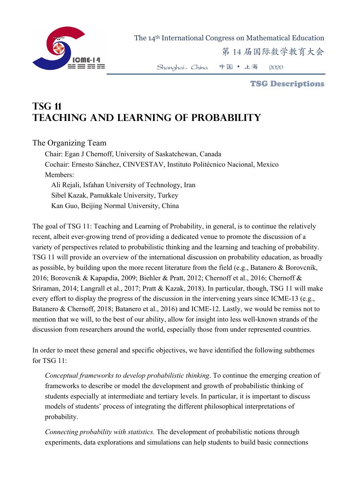

The 14th International Congress on Mathematical Education

第 14 届国际数学教育大会

Shanghai,China 中国 • 上海 2020

## TSG Descriptions

## **TSG 11 Teaching and Learning of Probability**

The Organizing Team

Chair: Egan J Chernoff, University of Saskatchewan, Canada Cochair: Ernesto Sánchez, CINVESTAV, Instituto Politécnico Nacional, Mexico Members: Ali Rejali, Isfahan University of Technology, Iran Sibel Kazak, Pamukkale University, Turkey Kan Guo, Beijing Normal University, China

The goal of TSG 11: Teaching and Learning of Probability, in general, is to continue the relatively recent, albeit ever-growing trend of providing a dedicated venue to promote the discussion of a variety of perspectives related to probabilistic thinking and the learning and teaching of probability. TSG 11 will provide an overview of the international discussion on probability education, as broadly as possible, by building upon the more recent literature from the field (e.g., Batanero & Borovcnik, 2016; Borovcnik & Kapapdia, 2009; Biehler & Pratt, 2012; Chernoff et al., 2016; Chernoff & Sriraman, 2014; Langrall et al., 2017; Pratt & Kazak, 2018). In particular, though, TSG 11 will make every effort to display the progress of the discussion in the intervening years since ICME-13 (e.g., Batanero & Chernoff, 2018; Batanero et al., 2016) and ICME-12. Lastly, we would be remiss not to mention that we will, to the best of our ability, allow for insight into less well-known strands of the discussion from researchers around the world, especially those from under represented countries.

In order to meet these general and specific objectives, we have identified the following subthemes for TSG 11:

*Conceptual frameworks to develop probabilistic thinking*. To continue the emerging creation of frameworks to describe or model the development and growth of probabilistic thinking of students especially at intermediate and tertiary levels. In particular, it is important to discuss models of students' process of integrating the different philosophical interpretations of probability.

*Connecting probability with statistics.* The development of probabilistic notions through experiments, data explorations and simulations can help students to build basic connections